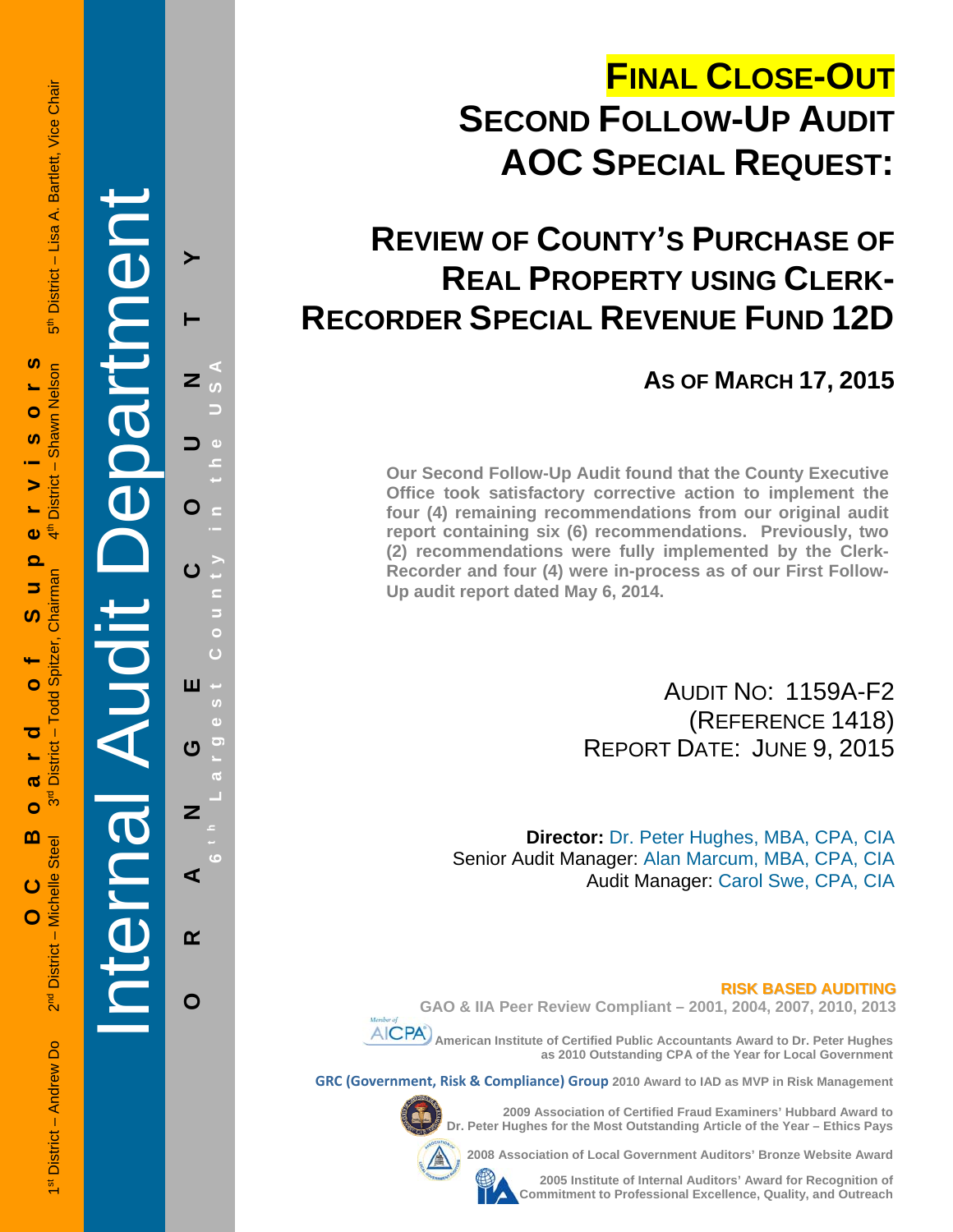# **FINAL CLOSE-OUT SECOND FOLLOW-UP AUDIT AOC SPECIAL REQUEST:**

## **REVIEW OF COUNTY'S PURCHASE OF REAL PROPERTY USING CLERK-RECORDER SPECIAL REVENUE FUND 12D**

**AS OF MARCH 17, 2015**

**Our Second Follow-Up Audit found that the County Executive Office took satisfactory corrective action to implement the four (4) remaining recommendations from our original audit report containing six (6) recommendations. Previously, two (2) recommendations were fully implemented by the Clerk-Recorder and four (4) were in-process as of our First Follow-Up audit report dated May 6, 2014.**

> AUDIT NO: 1159A-F2 (REFERENCE 1418) REPORT DATE: JUNE 9, 2015

**Director:** Dr. Peter Hughes, MBA, CPA, CIA Senior Audit Manager: Alan Marcum, MBA, CPA, CIA Audit Manager: Carol Swe, CPA, CIA

#### **RISK BASED AUDITING**

**GAO & IIA Peer Review Compliant – 2001, 2004, 2007, 2010, 2013** 

 **American Institute of Certified Public Accountants Award to Dr. Peter Hughes as 2010 Outstanding CPA of the Year for Local Government** 

**GRC (Government, Risk & Compliance) Group 2010 Award to IAD as MVP in Risk Management** 



**2009 Association of Certified Fraud Examiners' Hubbard Award to Dr. Peter Hughes for the Most Outstanding Article of the Year – Ethics Pays** 

**2008 Association of Local Government Auditors' Bronze Website Award** 



**2005 Institute of Internal Auditors' Award for Recognition of Commitment to Professional Excellence, Quality, and Outreach**

District - Lisa A. Bartlett, Vice Chair €<br>آ

1st District – Andrew Do 2<sup>nd</sup> District – Michelle Steel 3rd District – Todd Spitzer, Chairman 3rd District – Shawn Nebel 3rd 19th District – Shartlett, Vice On 2nd 19th District – Nebel 3rd 19th District – Nebel 3rd 19th  **OC Board of Supervisors S Shawn Nelson**  $\bullet$ **S**  $\mathbf I$ **District**  $\blacktriangleright$  $\ddot{4}$  $\mathbf{\omega}$ ൎ Chairman 5 ທ Spitzer, Ó Todd: ರ  $District -$ **S** შ<br>გ Ō  $\mathbf{m}$ District - Michelle Steel ပ  $\overline{O}$ ิล<br>ด 1<sup>st</sup> District - Andrew Do

Internal Audit Department

**ORANGE COUNTY 6 t h Lar**

ш

U

 $\overline{\mathbf{z}}$ 

⋖

 $\alpha$ 

 $\mathbf O$ 

**g**

**est Count**

**y in the USA** 

Z

O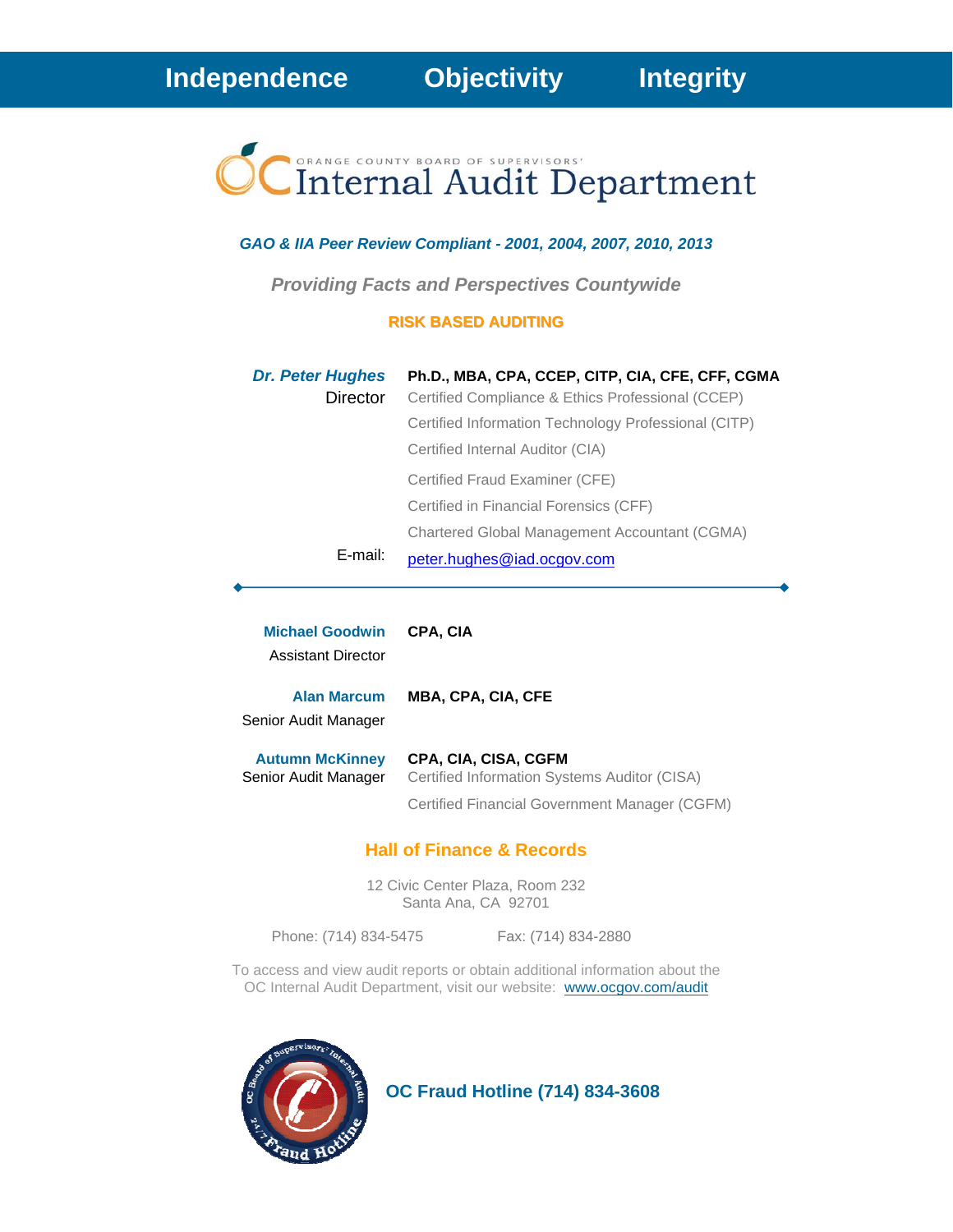# Internal Audit Department

#### *GAO & IIA Peer Review Compliant - 2001, 2004, 2007, 2010, 2013*

*Providing Facts and Perspectives Countywide* 

#### **RISK BASED AUDITING**

| <b>Dr. Peter Hughes</b> | Ph.D., MBA, CPA, CCEP, CITP, CIA, CFE, CFF, CGMA     |
|-------------------------|------------------------------------------------------|
| Director                | Certified Compliance & Ethics Professional (CCEP)    |
|                         | Certified Information Technology Professional (CITP) |
|                         | Certified Internal Auditor (CIA)                     |
|                         | Certified Fraud Examiner (CFE)                       |
|                         | Certified in Financial Forensics (CFF)               |
|                         | Chartered Global Management Accountant (CGMA)        |
| E-mail:                 | peter.hughes@iad.ocgov.com                           |

| <b>Michael Goodwin</b><br><b>Assistant Director</b> | <b>CPA. CIA</b>                                                      |
|-----------------------------------------------------|----------------------------------------------------------------------|
| <b>Alan Marcum</b><br>Senior Audit Manager          | <b>MBA, CPA, CIA, CFE</b>                                            |
| <b>Autumn McKinney</b><br>Senior Audit Manager      | CPA, CIA, CISA, CGFM<br>Certified Information Systems Auditor (CISA) |
|                                                     | Certified Financial Government Manager (CGFM)                        |

#### **Hall of Finance & Records**

12 Civic Center Plaza, Room 232 Santa Ana, CA 92701

Phone: (714) 834-5475 Fax: (714) 834-2880

To access and view audit reports or obtain additional information about the OC Internal Audit Department, visit our website: www.ocgov.com/audit



 **OC Fraud Hotline (714) 834-3608**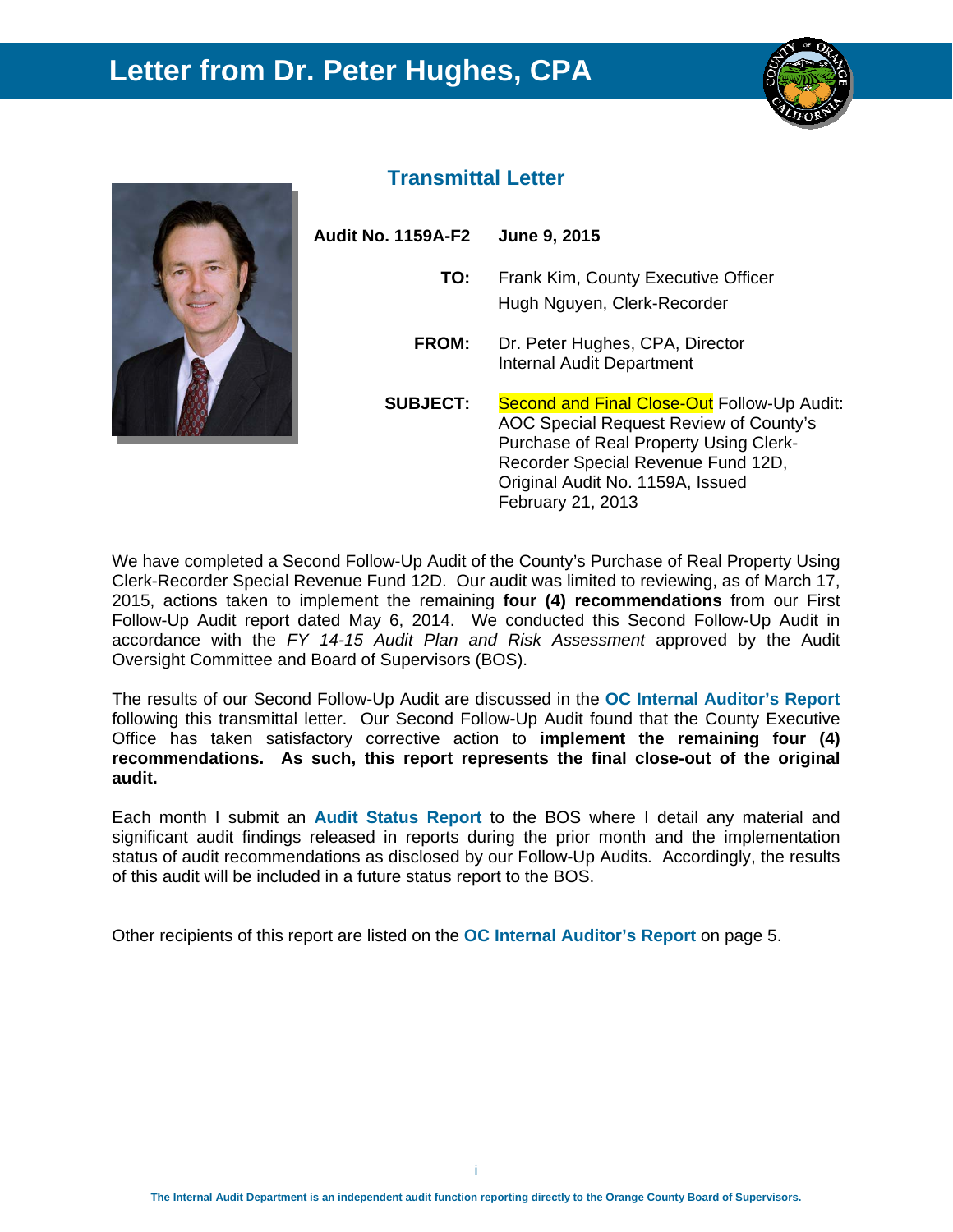### **Letter from Dr. Peter Hughes, CPA**





#### **Transmittal Letter**

| Audit No. 1159A-F2 | June 9, 2015                                                                                                                                                                                                                          |
|--------------------|---------------------------------------------------------------------------------------------------------------------------------------------------------------------------------------------------------------------------------------|
| TO:                | Frank Kim, County Executive Officer<br>Hugh Nguyen, Clerk-Recorder                                                                                                                                                                    |
| FROM:              | Dr. Peter Hughes, CPA, Director<br><b>Internal Audit Department</b>                                                                                                                                                                   |
| <b>SUBJECT:</b>    | <b>Second and Final Close-Out Follow-Up Audit:</b><br>AOC Special Request Review of County's<br>Purchase of Real Property Using Clerk-<br>Recorder Special Revenue Fund 12D,<br>Original Audit No. 1159A, Issued<br>February 21, 2013 |

We have completed a Second Follow-Up Audit of the County's Purchase of Real Property Using Clerk-Recorder Special Revenue Fund 12D. Our audit was limited to reviewing, as of March 17, 2015, actions taken to implement the remaining **four (4) recommendations** from our First Follow-Up Audit report dated May 6, 2014. We conducted this Second Follow-Up Audit in accordance with the *FY 14-15 Audit Plan and Risk Assessment* approved by the Audit Oversight Committee and Board of Supervisors (BOS).

The results of our Second Follow-Up Audit are discussed in the **OC Internal Auditor's Report**  following this transmittal letter. Our Second Follow-Up Audit found that the County Executive Office has taken satisfactory corrective action to **implement the remaining four (4) recommendations. As such, this report represents the final close-out of the original audit.**

Each month I submit an **Audit Status Report** to the BOS where I detail any material and significant audit findings released in reports during the prior month and the implementation status of audit recommendations as disclosed by our Follow-Up Audits. Accordingly, the results of this audit will be included in a future status report to the BOS.

Other recipients of this report are listed on the **OC Internal Auditor's Report** on page 5.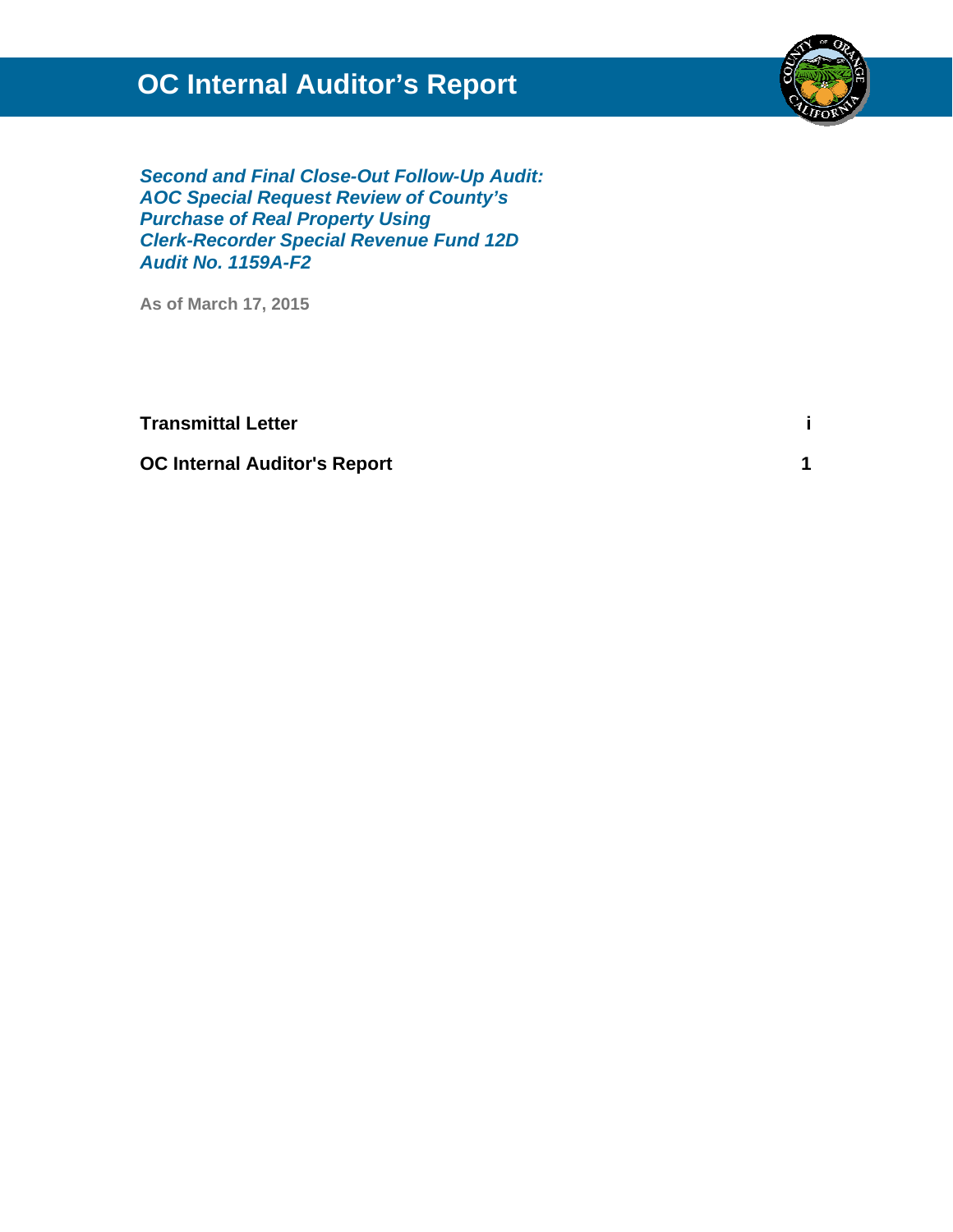## **OC Internal Auditor's Report**



*Second and Final Close-Out Follow-Up Audit: AOC Special Request Review of County's Purchase of Real Property Using Clerk-Recorder Special Revenue Fund 12D Audit No. 1159A-F2*

**As of March 17, 2015** 

**Transmittal Letter is a set of the set of the set of the set of the set of the set of the set of the set of the set of the set of the set of the set of the set of the set of the set of the set of the set of the set of the** 

**OC Internal Auditor's Report 1**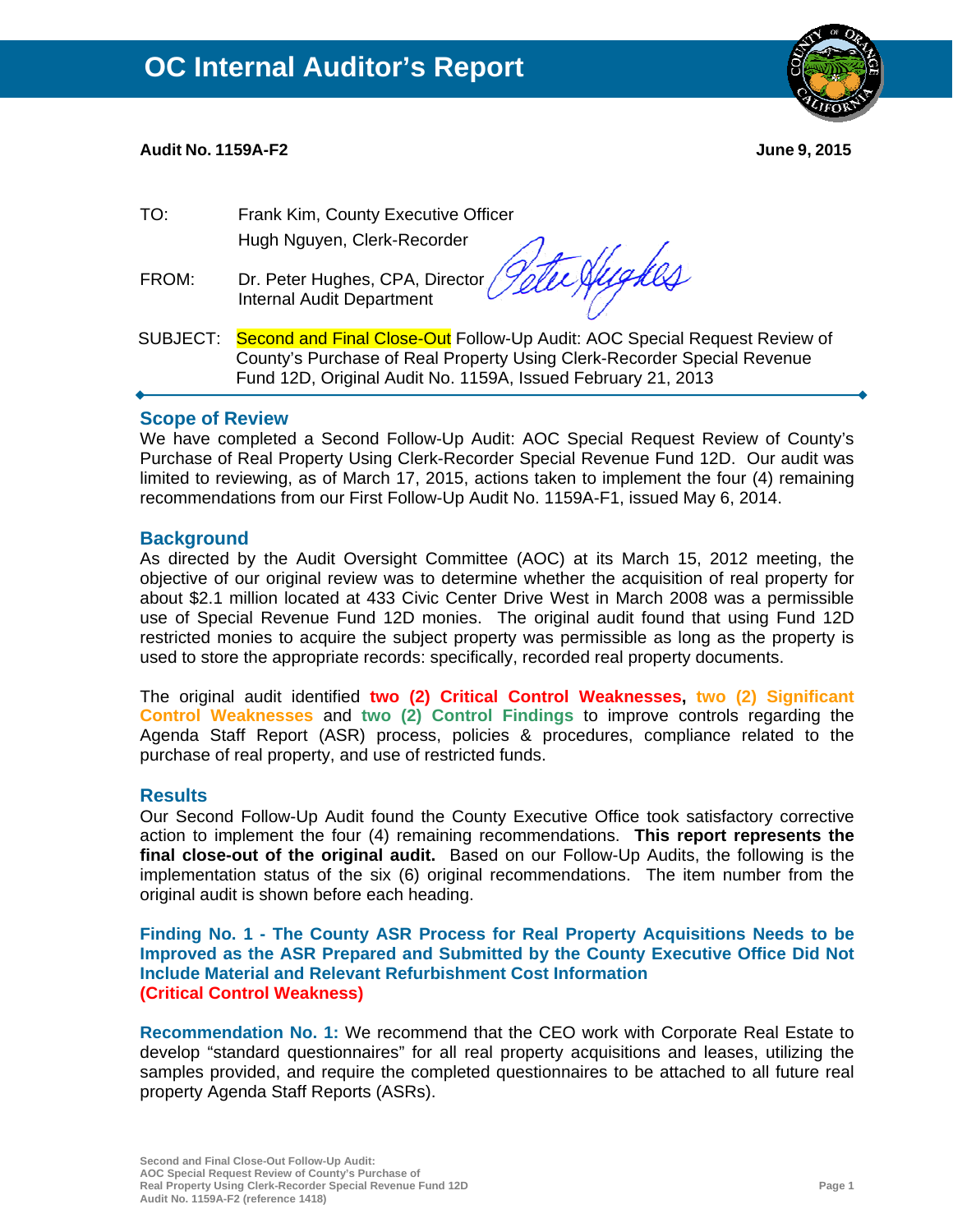#### **Audit No. 1159A-F2 June 9, 2015**

- TO: Frank Kim, County Executive Officer Hugh Nguyen, Clerk-Recorder
- FROM: Dr. Peter Hughes, CPA, Director Internal Audit Department

Vetu Hughes

SUBJECT: Second and Final Close-Out Follow-Up Audit: AOC Special Request Review of County's Purchase of Real Property Using Clerk-Recorder Special Revenue Fund 12D, Original Audit No. 1159A, Issued February 21, 2013

#### **Scope of Review**

We have completed a Second Follow-Up Audit: AOC Special Request Review of County's Purchase of Real Property Using Clerk-Recorder Special Revenue Fund 12D. Our audit was limited to reviewing, as of March 17, 2015, actions taken to implement the four (4) remaining recommendations from our First Follow-Up Audit No. 1159A-F1, issued May 6, 2014.

#### **Background**

As directed by the Audit Oversight Committee (AOC) at its March 15, 2012 meeting, the objective of our original review was to determine whether the acquisition of real property for about \$2.1 million located at 433 Civic Center Drive West in March 2008 was a permissible use of Special Revenue Fund 12D monies. The original audit found that using Fund 12D restricted monies to acquire the subject property was permissible as long as the property is used to store the appropriate records: specifically, recorded real property documents.

The original audit identified **two (2) Critical Control Weaknesses, two (2) Significant Control Weaknesses** and **two (2) Control Findings** to improve controls regarding the Agenda Staff Report (ASR) process, policies & procedures, compliance related to the purchase of real property, and use of restricted funds.

#### **Results**

Our Second Follow-Up Audit found the County Executive Office took satisfactory corrective action to implement the four (4) remaining recommendations. **This report represents the final close-out of the original audit.** Based on our Follow-Up Audits, the following is the implementation status of the six (6) original recommendations. The item number from the original audit is shown before each heading.

**Finding No. 1 - The County ASR Process for Real Property Acquisitions Needs to be Improved as the ASR Prepared and Submitted by the County Executive Office Did Not Include Material and Relevant Refurbishment Cost Information (Critical Control Weakness)**

**Recommendation No. 1:** We recommend that the CEO work with Corporate Real Estate to develop "standard questionnaires" for all real property acquisitions and leases, utilizing the samples provided, and require the completed questionnaires to be attached to all future real property Agenda Staff Reports (ASRs).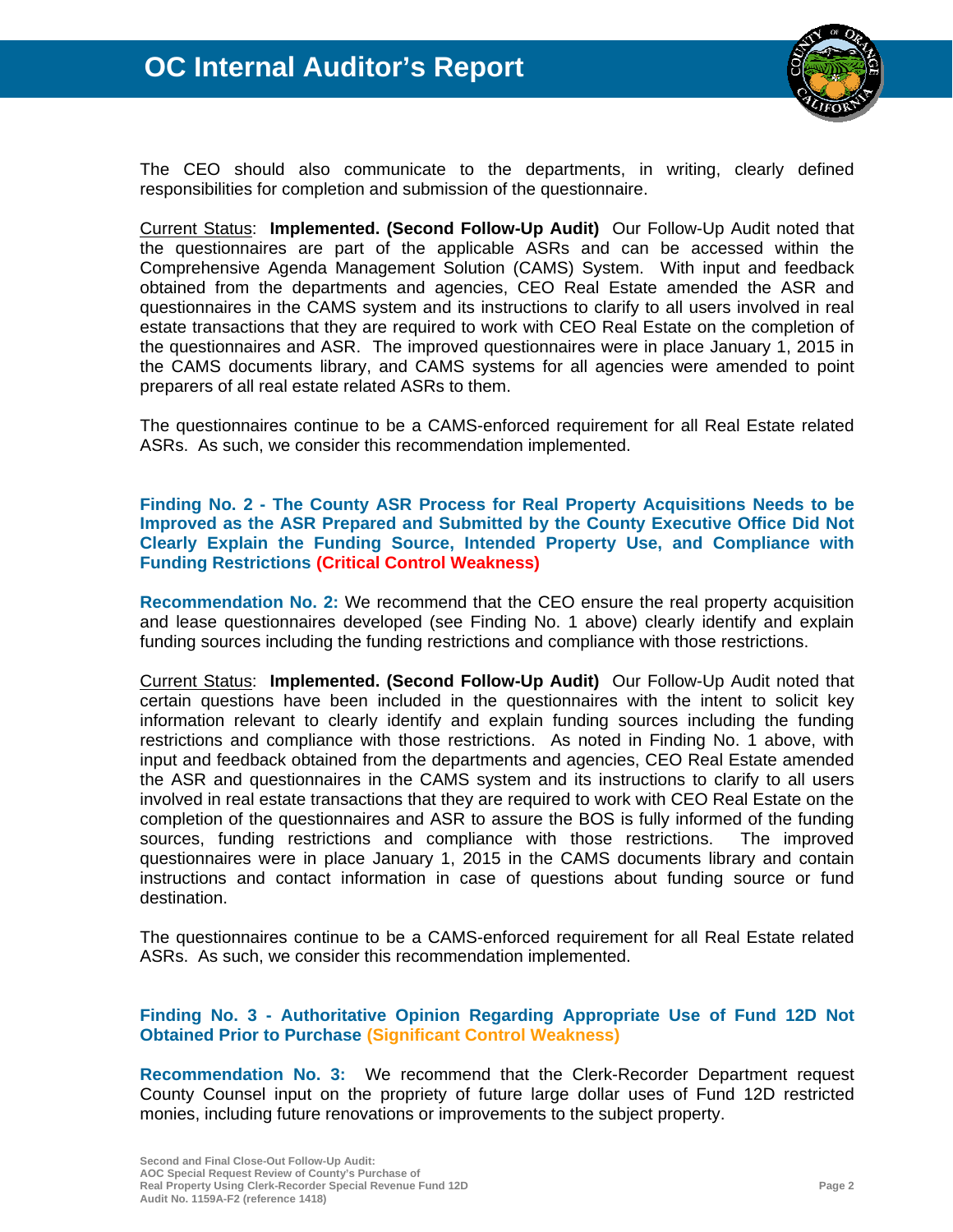

The CEO should also communicate to the departments, in writing, clearly defined responsibilities for completion and submission of the questionnaire.

Current Status: **Implemented. (Second Follow-Up Audit)** Our Follow-Up Audit noted that the questionnaires are part of the applicable ASRs and can be accessed within the Comprehensive Agenda Management Solution (CAMS) System. With input and feedback obtained from the departments and agencies, CEO Real Estate amended the ASR and questionnaires in the CAMS system and its instructions to clarify to all users involved in real estate transactions that they are required to work with CEO Real Estate on the completion of the questionnaires and ASR. The improved questionnaires were in place January 1, 2015 in the CAMS documents library, and CAMS systems for all agencies were amended to point preparers of all real estate related ASRs to them.

The questionnaires continue to be a CAMS-enforced requirement for all Real Estate related ASRs. As such, we consider this recommendation implemented.

#### **Finding No. 2 - The County ASR Process for Real Property Acquisitions Needs to be Improved as the ASR Prepared and Submitted by the County Executive Office Did Not Clearly Explain the Funding Source, Intended Property Use, and Compliance with Funding Restrictions (Critical Control Weakness)**

**Recommendation No. 2:** We recommend that the CEO ensure the real property acquisition and lease questionnaires developed (see Finding No. 1 above) clearly identify and explain funding sources including the funding restrictions and compliance with those restrictions.

Current Status: **Implemented. (Second Follow-Up Audit)** Our Follow-Up Audit noted that certain questions have been included in the questionnaires with the intent to solicit key information relevant to clearly identify and explain funding sources including the funding restrictions and compliance with those restrictions. As noted in Finding No. 1 above, with input and feedback obtained from the departments and agencies, CEO Real Estate amended the ASR and questionnaires in the CAMS system and its instructions to clarify to all users involved in real estate transactions that they are required to work with CEO Real Estate on the completion of the questionnaires and ASR to assure the BOS is fully informed of the funding sources, funding restrictions and compliance with those restrictions. The improved questionnaires were in place January 1, 2015 in the CAMS documents library and contain instructions and contact information in case of questions about funding source or fund destination.

The questionnaires continue to be a CAMS-enforced requirement for all Real Estate related ASRs. As such, we consider this recommendation implemented.

#### **Finding No. 3 - Authoritative Opinion Regarding Appropriate Use of Fund 12D Not Obtained Prior to Purchase (Significant Control Weakness)**

**Recommendation No. 3:** We recommend that the Clerk-Recorder Department request County Counsel input on the propriety of future large dollar uses of Fund 12D restricted monies, including future renovations or improvements to the subject property.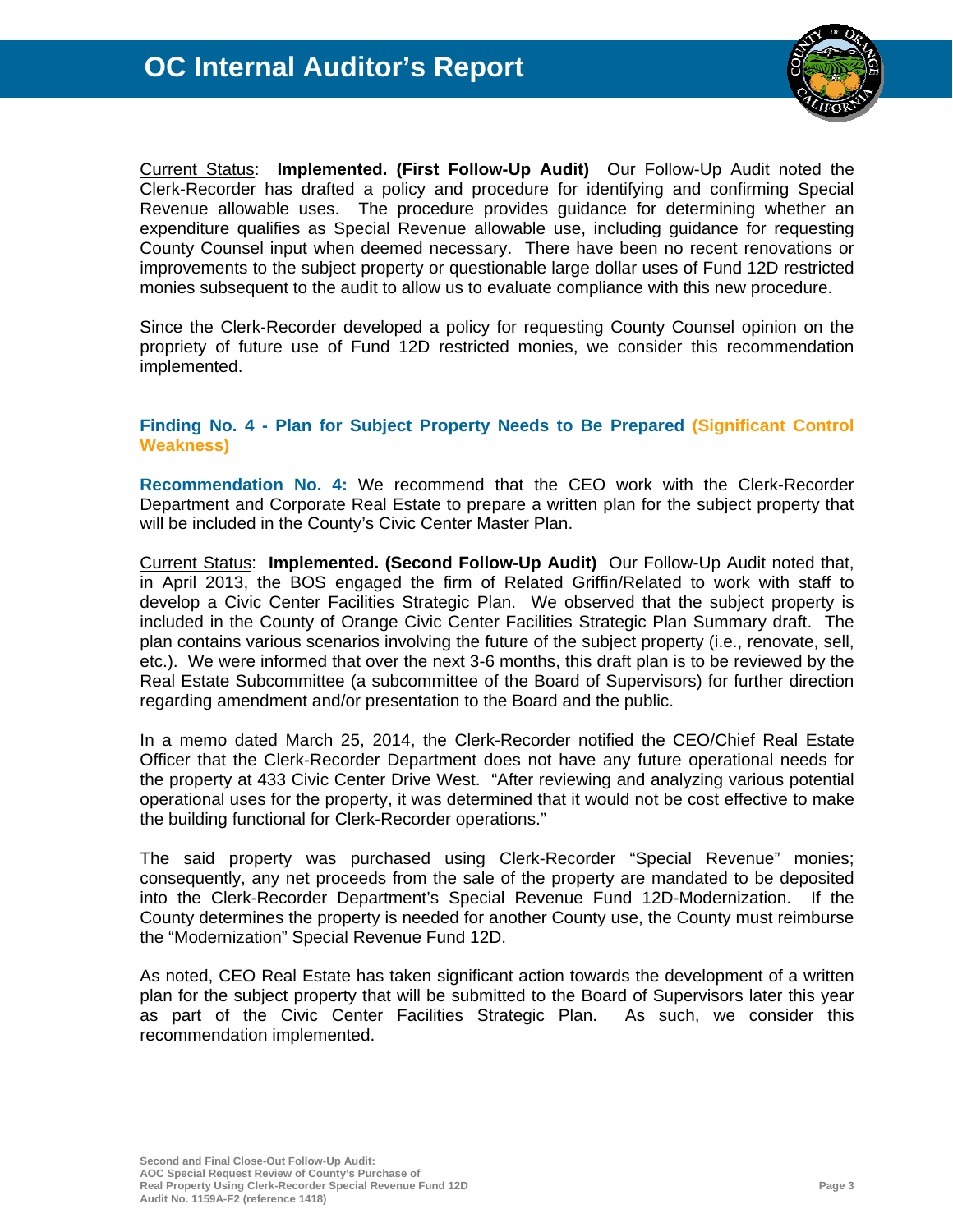

Current Status: **Implemented. (First Follow-Up Audit)** Our Follow-Up Audit noted the Clerk-Recorder has drafted a policy and procedure for identifying and confirming Special Revenue allowable uses. The procedure provides guidance for determining whether an expenditure qualifies as Special Revenue allowable use, including guidance for requesting County Counsel input when deemed necessary. There have been no recent renovations or improvements to the subject property or questionable large dollar uses of Fund 12D restricted monies subsequent to the audit to allow us to evaluate compliance with this new procedure.

Since the Clerk-Recorder developed a policy for requesting County Counsel opinion on the propriety of future use of Fund 12D restricted monies, we consider this recommendation implemented.

#### **Finding No. 4 - Plan for Subject Property Needs to Be Prepared (Significant Control Weakness)**

**Recommendation No. 4:** We recommend that the CEO work with the Clerk-Recorder Department and Corporate Real Estate to prepare a written plan for the subject property that will be included in the County's Civic Center Master Plan.

Current Status: **Implemented. (Second Follow-Up Audit)** Our Follow-Up Audit noted that, in April 2013, the BOS engaged the firm of Related Griffin/Related to work with staff to develop a Civic Center Facilities Strategic Plan. We observed that the subject property is included in the County of Orange Civic Center Facilities Strategic Plan Summary draft. The plan contains various scenarios involving the future of the subject property (i.e., renovate, sell, etc.). We were informed that over the next 3-6 months, this draft plan is to be reviewed by the Real Estate Subcommittee (a subcommittee of the Board of Supervisors) for further direction regarding amendment and/or presentation to the Board and the public.

In a memo dated March 25, 2014, the Clerk-Recorder notified the CEO/Chief Real Estate Officer that the Clerk-Recorder Department does not have any future operational needs for the property at 433 Civic Center Drive West. "After reviewing and analyzing various potential operational uses for the property, it was determined that it would not be cost effective to make the building functional for Clerk-Recorder operations."

The said property was purchased using Clerk-Recorder "Special Revenue" monies; consequently, any net proceeds from the sale of the property are mandated to be deposited into the Clerk-Recorder Department's Special Revenue Fund 12D-Modernization. If the County determines the property is needed for another County use, the County must reimburse the "Modernization" Special Revenue Fund 12D.

As noted, CEO Real Estate has taken significant action towards the development of a written plan for the subject property that will be submitted to the Board of Supervisors later this year as part of the Civic Center Facilities Strategic Plan. As such, we consider this recommendation implemented.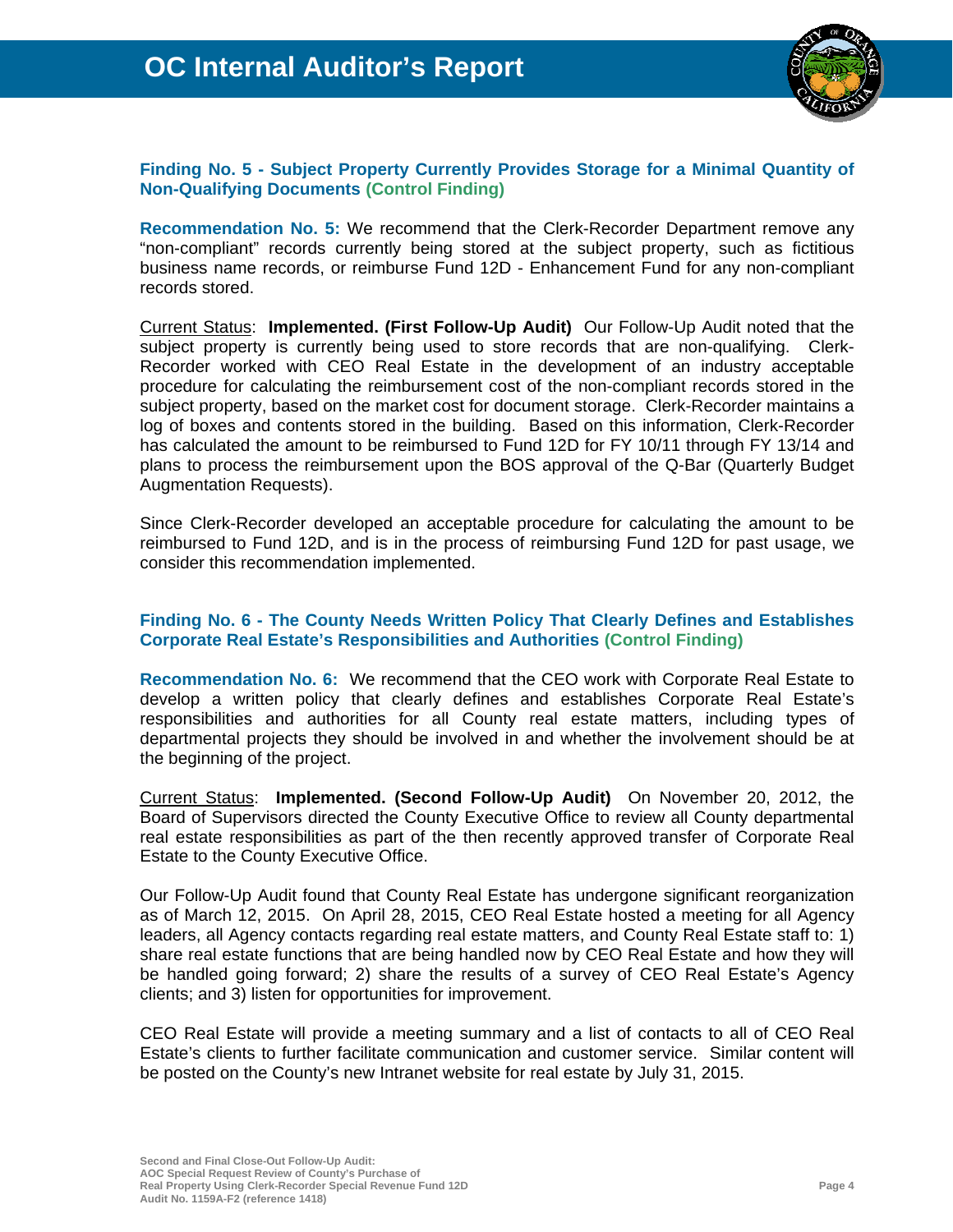

#### **Finding No. 5 - Subject Property Currently Provides Storage for a Minimal Quantity of Non-Qualifying Documents (Control Finding)**

**Recommendation No. 5:** We recommend that the Clerk-Recorder Department remove any "non-compliant" records currently being stored at the subject property, such as fictitious business name records, or reimburse Fund 12D - Enhancement Fund for any non-compliant records stored.

Current Status: **Implemented. (First Follow-Up Audit)** Our Follow-Up Audit noted that the subject property is currently being used to store records that are non-qualifying. Clerk-Recorder worked with CEO Real Estate in the development of an industry acceptable procedure for calculating the reimbursement cost of the non-compliant records stored in the subject property, based on the market cost for document storage. Clerk-Recorder maintains a log of boxes and contents stored in the building. Based on this information, Clerk-Recorder has calculated the amount to be reimbursed to Fund 12D for FY 10/11 through FY 13/14 and plans to process the reimbursement upon the BOS approval of the Q-Bar (Quarterly Budget Augmentation Requests).

Since Clerk-Recorder developed an acceptable procedure for calculating the amount to be reimbursed to Fund 12D, and is in the process of reimbursing Fund 12D for past usage, we consider this recommendation implemented.

#### **Finding No. 6 - The County Needs Written Policy That Clearly Defines and Establishes Corporate Real Estate's Responsibilities and Authorities (Control Finding)**

**Recommendation No. 6:** We recommend that the CEO work with Corporate Real Estate to develop a written policy that clearly defines and establishes Corporate Real Estate's responsibilities and authorities for all County real estate matters, including types of departmental projects they should be involved in and whether the involvement should be at the beginning of the project.

Current Status: **Implemented. (Second Follow-Up Audit)** On November 20, 2012, the Board of Supervisors directed the County Executive Office to review all County departmental real estate responsibilities as part of the then recently approved transfer of Corporate Real Estate to the County Executive Office.

Our Follow-Up Audit found that County Real Estate has undergone significant reorganization as of March 12, 2015. On April 28, 2015, CEO Real Estate hosted a meeting for all Agency leaders, all Agency contacts regarding real estate matters, and County Real Estate staff to: 1) share real estate functions that are being handled now by CEO Real Estate and how they will be handled going forward; 2) share the results of a survey of CEO Real Estate's Agency clients; and 3) listen for opportunities for improvement.

CEO Real Estate will provide a meeting summary and a list of contacts to all of CEO Real Estate's clients to further facilitate communication and customer service. Similar content will be posted on the County's new Intranet website for real estate by July 31, 2015.